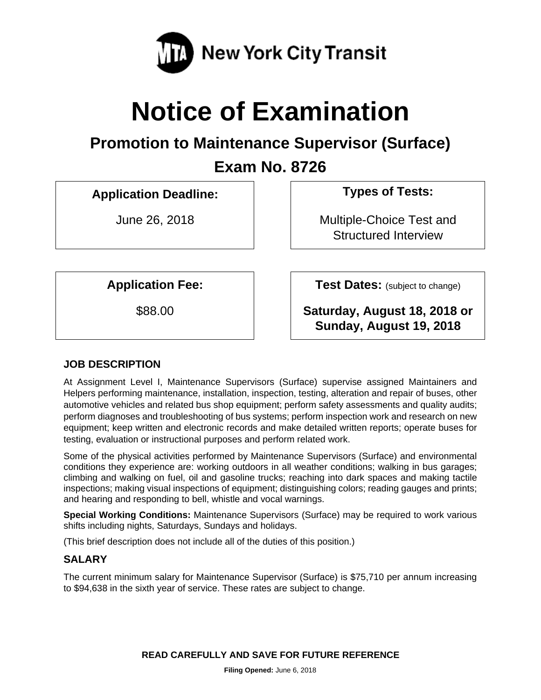

# **Notice of Examination**

## **Promotion to Maintenance Supervisor (Surface)**

**Exam No. 8726** 

**Application Deadline: Types of Tests:** 

June 26, 2018 **Multiple-Choice Test and** Structured Interview

**Application Fee:**  $\vert$  **Test Dates:** (subject to change)

\$88.00 **Saturday, August 18, 2018 or Sunday, August 19, 2018** 

## **JOB DESCRIPTION**

At Assignment Level I, Maintenance Supervisors (Surface) supervise assigned Maintainers and Helpers performing maintenance, installation, inspection, testing, alteration and repair of buses, other automotive vehicles and related bus shop equipment; perform safety assessments and quality audits; perform diagnoses and troubleshooting of bus systems; perform inspection work and research on new equipment; keep written and electronic records and make detailed written reports; operate buses for testing, evaluation or instructional purposes and perform related work.

Some of the physical activities performed by Maintenance Supervisors (Surface) and environmental conditions they experience are: working outdoors in all weather conditions; walking in bus garages; climbing and walking on fuel, oil and gasoline trucks; reaching into dark spaces and making tactile inspections; making visual inspections of equipment; distinguishing colors; reading gauges and prints; and hearing and responding to bell, whistle and vocal warnings.

**Special Working Conditions:** Maintenance Supervisors (Surface) may be required to work various shifts including nights, Saturdays, Sundays and holidays.

(This brief description does not include all of the duties of this position.)

## **SALARY**

The current minimum salary for Maintenance Supervisor (Surface) is \$75,710 per annum increasing to \$94,638 in the sixth year of service. These rates are subject to change.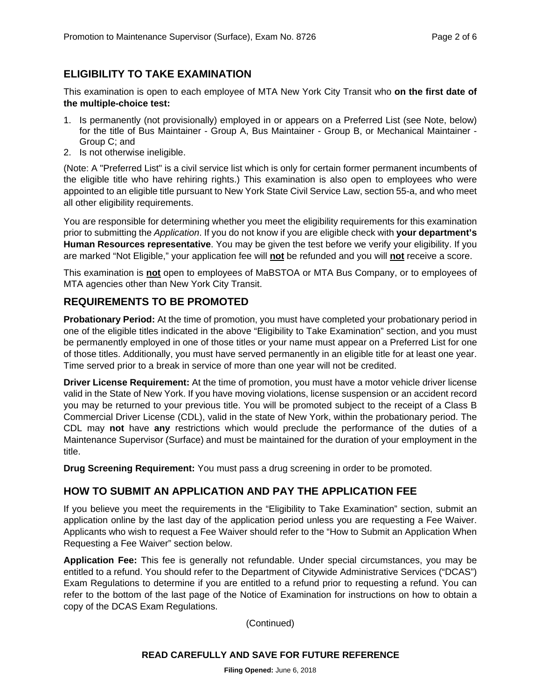## **ELIGIBILITY TO TAKE EXAMINATION**

This examination is open to each employee of MTA New York City Transit who **on the first date of the multiple-choice test:** 

- 1. Is permanently (not provisionally) employed in or appears on a Preferred List (see Note, below) for the title of Bus Maintainer - Group A, Bus Maintainer - Group B, or Mechanical Maintainer - Group C; and
- 2. Is not otherwise ineligible.

(Note: A "Preferred List" is a civil service list which is only for certain former permanent incumbents of the eligible title who have rehiring rights.) This examination is also open to employees who were appointed to an eligible title pursuant to New York State Civil Service Law, section 55-a, and who meet all other eligibility requirements.

You are responsible for determining whether you meet the eligibility requirements for this examination prior to submitting the *Application*. If you do not know if you are eligible check with **your department's Human Resources representative**. You may be given the test before we verify your eligibility. If you are marked "Not Eligible," your application fee will **not** be refunded and you will **not** receive a score.

This examination is **not** open to employees of MaBSTOA or MTA Bus Company, or to employees of MTA agencies other than New York City Transit.

## **REQUIREMENTS TO BE PROMOTED**

**Probationary Period:** At the time of promotion, you must have completed your probationary period in one of the eligible titles indicated in the above "Eligibility to Take Examination" section, and you must be permanently employed in one of those titles or your name must appear on a Preferred List for one of those titles. Additionally, you must have served permanently in an eligible title for at least one year. Time served prior to a break in service of more than one year will not be credited.

**Driver License Requirement:** At the time of promotion, you must have a motor vehicle driver license valid in the State of New York. If you have moving violations, license suspension or an accident record you may be returned to your previous title. You will be promoted subject to the receipt of a Class B Commercial Driver License (CDL), valid in the state of New York, within the probationary period. The CDL may **not** have **any** restrictions which would preclude the performance of the duties of a Maintenance Supervisor (Surface) and must be maintained for the duration of your employment in the title.

**Drug Screening Requirement:** You must pass a drug screening in order to be promoted.

#### **HOW TO SUBMIT AN APPLICATION AND PAY THE APPLICATION FEE**

If you believe you meet the requirements in the "Eligibility to Take Examination" section, submit an application online by the last day of the application period unless you are requesting a Fee Waiver. Applicants who wish to request a Fee Waiver should refer to the "How to Submit an Application When Requesting a Fee Waiver" section below.

**Application Fee:** This fee is generally not refundable. Under special circumstances, you may be entitled to a refund. You should refer to the Department of Citywide Administrative Services ("DCAS") Exam Regulations to determine if you are entitled to a refund prior to requesting a refund. You can refer to the bottom of the last page of the Notice of Examination for instructions on how to obtain a copy of the DCAS Exam Regulations.

(Continued)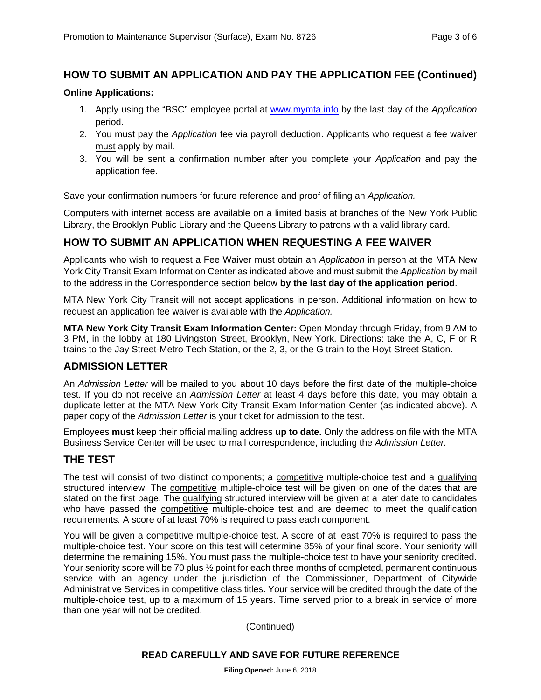## **HOW TO SUBMIT AN APPLICATION AND PAY THE APPLICATION FEE (Continued)**

#### **Online Applications:**

- 1. Apply using the "BSC" employee portal at www.mymta.info by the last day of the *Application*  period.
- 2. You must pay the *Application* fee via payroll deduction. Applicants who request a fee waiver must apply by mail.
- 3. You will be sent a confirmation number after you complete your *Application* and pay the application fee.

Save your confirmation numbers for future reference and proof of filing an *Application.*

Computers with internet access are available on a limited basis at branches of the New York Public Library, the Brooklyn Public Library and the Queens Library to patrons with a valid library card.

## **HOW TO SUBMIT AN APPLICATION WHEN REQUESTING A FEE WAIVER**

Applicants who wish to request a Fee Waiver must obtain an *Application* in person at the MTA New York City Transit Exam Information Center as indicated above and must submit the *Application* by mail to the address in the Correspondence section below **by the last day of the application period**.

MTA New York City Transit will not accept applications in person. Additional information on how to request an application fee waiver is available with the *Application.* 

**MTA New York City Transit Exam Information Center:** Open Monday through Friday, from 9 AM to 3 PM, in the lobby at 180 Livingston Street, Brooklyn, New York. Directions: take the A, C, F or R trains to the Jay Street-Metro Tech Station, or the 2, 3, or the G train to the Hoyt Street Station.

## **ADMISSION LETTER**

An *Admission Letter* will be mailed to you about 10 days before the first date of the multiple-choice test. If you do not receive an *Admission Letter* at least 4 days before this date, you may obtain a duplicate letter at the MTA New York City Transit Exam Information Center (as indicated above). A paper copy of the *Admission Letter* is your ticket for admission to the test.

Employees **must** keep their official mailing address **up to date.** Only the address on file with the MTA Business Service Center will be used to mail correspondence, including the *Admission Letter.*

#### **THE TEST**

The test will consist of two distinct components; a competitive multiple-choice test and a qualifying structured interview. The competitive multiple-choice test will be given on one of the dates that are stated on the first page. The qualifying structured interview will be given at a later date to candidates who have passed the **competitive** multiple-choice test and are deemed to meet the qualification requirements. A score of at least 70% is required to pass each component.

You will be given a competitive multiple-choice test. A score of at least 70% is required to pass the multiple-choice test. Your score on this test will determine 85% of your final score. Your seniority will determine the remaining 15%. You must pass the multiple-choice test to have your seniority credited. Your seniority score will be 70 plus  $\frac{1}{2}$  point for each three months of completed, permanent continuous service with an agency under the jurisdiction of the Commissioner, Department of Citywide Administrative Services in competitive class titles. Your service will be credited through the date of the multiple-choice test, up to a maximum of 15 years. Time served prior to a break in service of more than one year will not be credited.

(Continued)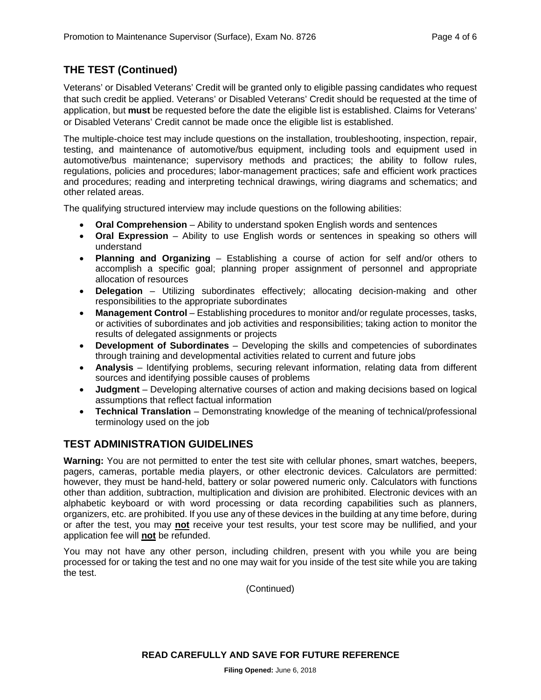## **THE TEST (Continued)**

Veterans' or Disabled Veterans' Credit will be granted only to eligible passing candidates who request that such credit be applied. Veterans' or Disabled Veterans' Credit should be requested at the time of application, but **must** be requested before the date the eligible list is established. Claims for Veterans' or Disabled Veterans' Credit cannot be made once the eligible list is established.

The multiple-choice test may include questions on the installation, troubleshooting, inspection, repair, testing, and maintenance of automotive/bus equipment, including tools and equipment used in automotive/bus maintenance; supervisory methods and practices; the ability to follow rules, regulations, policies and procedures; labor-management practices; safe and efficient work practices and procedures; reading and interpreting technical drawings, wiring diagrams and schematics; and other related areas.

The qualifying structured interview may include questions on the following abilities:

- **Oral Comprehension** Ability to understand spoken English words and sentences
- **Oral Expression** Ability to use English words or sentences in speaking so others will understand
- **Planning and Organizing** Establishing a course of action for self and/or others to accomplish a specific goal; planning proper assignment of personnel and appropriate allocation of resources
- **Delegation** Utilizing subordinates effectively; allocating decision-making and other responsibilities to the appropriate subordinates
- **Management Control** Establishing procedures to monitor and/or regulate processes, tasks, or activities of subordinates and job activities and responsibilities; taking action to monitor the results of delegated assignments or projects
- **Development of Subordinates** Developing the skills and competencies of subordinates through training and developmental activities related to current and future jobs
- **Analysis** Identifying problems, securing relevant information, relating data from different sources and identifying possible causes of problems
- **Judgment** Developing alternative courses of action and making decisions based on logical assumptions that reflect factual information
- **Technical Translation** Demonstrating knowledge of the meaning of technical/professional terminology used on the job

## **TEST ADMINISTRATION GUIDELINES**

**Warning:** You are not permitted to enter the test site with cellular phones, smart watches, beepers, pagers, cameras, portable media players, or other electronic devices. Calculators are permitted: however, they must be hand-held, battery or solar powered numeric only. Calculators with functions other than addition, subtraction, multiplication and division are prohibited. Electronic devices with an alphabetic keyboard or with word processing or data recording capabilities such as planners, organizers, etc. are prohibited. If you use any of these devices in the building at any time before, during or after the test, you may **not** receive your test results, your test score may be nullified, and your application fee will **not** be refunded.

You may not have any other person, including children, present with you while you are being processed for or taking the test and no one may wait for you inside of the test site while you are taking the test.

(Continued)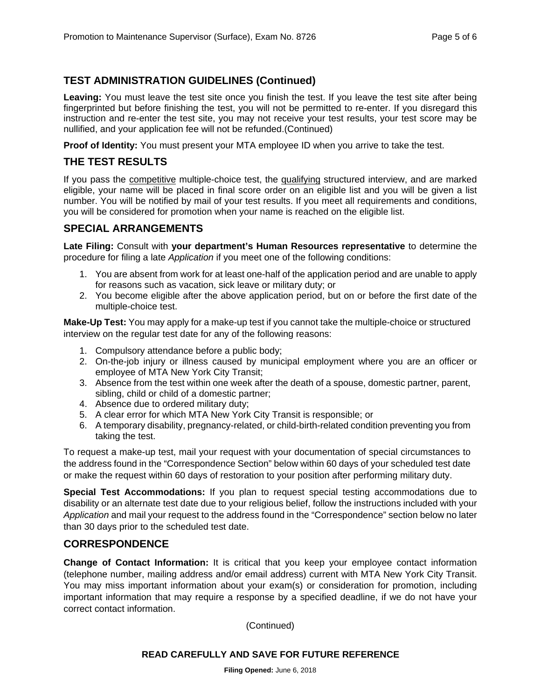## **TEST ADMINISTRATION GUIDELINES (Continued)**

**Leaving:** You must leave the test site once you finish the test. If you leave the test site after being fingerprinted but before finishing the test, you will not be permitted to re-enter. If you disregard this instruction and re-enter the test site, you may not receive your test results, your test score may be nullified, and your application fee will not be refunded.(Continued)

**Proof of Identity:** You must present your MTA employee ID when you arrive to take the test.

## **THE TEST RESULTS**

If you pass the competitive multiple-choice test, the qualifying structured interview, and are marked eligible, your name will be placed in final score order on an eligible list and you will be given a list number. You will be notified by mail of your test results. If you meet all requirements and conditions, you will be considered for promotion when your name is reached on the eligible list.

## **SPECIAL ARRANGEMENTS**

**Late Filing:** Consult with **your department's Human Resources representative** to determine the procedure for filing a late *Application* if you meet one of the following conditions:

- 1. You are absent from work for at least one-half of the application period and are unable to apply for reasons such as vacation, sick leave or military duty; or
- 2. You become eligible after the above application period, but on or before the first date of the multiple-choice test.

**Make-Up Test:** You may apply for a make-up test if you cannot take the multiple-choice or structured interview on the regular test date for any of the following reasons:

- 1. Compulsory attendance before a public body;
- 2. On-the-job injury or illness caused by municipal employment where you are an officer or employee of MTA New York City Transit;
- 3. Absence from the test within one week after the death of a spouse, domestic partner, parent, sibling, child or child of a domestic partner;
- 4. Absence due to ordered military duty;
- 5. A clear error for which MTA New York City Transit is responsible; or
- 6. A temporary disability, pregnancy-related, or child-birth-related condition preventing you from taking the test.

To request a make-up test, mail your request with your documentation of special circumstances to the address found in the "Correspondence Section" below within 60 days of your scheduled test date or make the request within 60 days of restoration to your position after performing military duty.

**Special Test Accommodations:** If you plan to request special testing accommodations due to disability or an alternate test date due to your religious belief, follow the instructions included with your *Application* and mail your request to the address found in the "Correspondence" section below no later than 30 days prior to the scheduled test date.

## **CORRESPONDENCE**

**Change of Contact Information:** It is critical that you keep your employee contact information (telephone number, mailing address and/or email address) current with MTA New York City Transit. You may miss important information about your exam(s) or consideration for promotion, including important information that may require a response by a specified deadline, if we do not have your correct contact information.

(Continued)